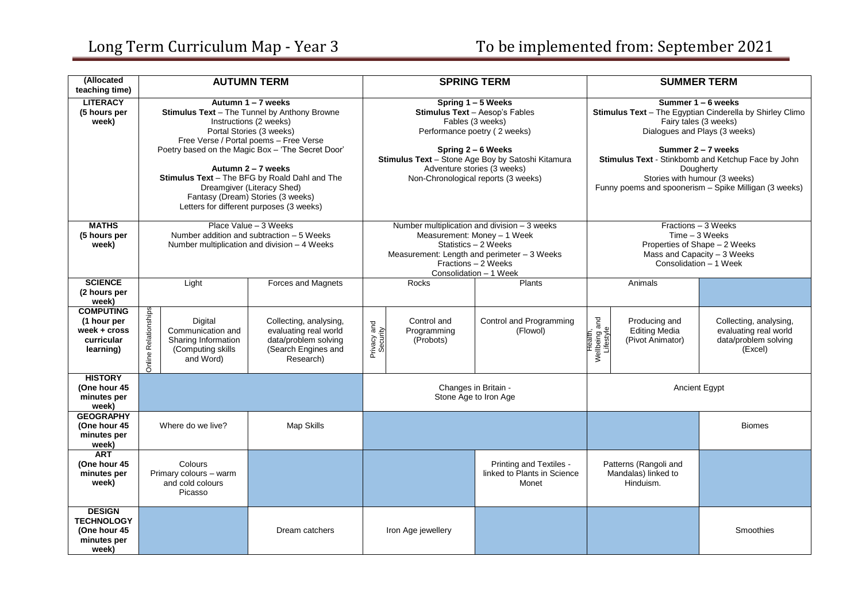| (Allocated<br>teaching time)                                               | <b>AUTUMN TERM</b>                                                                                                                                                                                                                                                                                                                                                                                            |                                                                                                             | <b>SPRING TERM</b>                                                                                                                                                                                                                                        |                                         |                                                                                                                                   | <b>SUMMER TERM</b>                                                                                                                                                                                                                                                                                                          |                                                           |                                                                                    |
|----------------------------------------------------------------------------|---------------------------------------------------------------------------------------------------------------------------------------------------------------------------------------------------------------------------------------------------------------------------------------------------------------------------------------------------------------------------------------------------------------|-------------------------------------------------------------------------------------------------------------|-----------------------------------------------------------------------------------------------------------------------------------------------------------------------------------------------------------------------------------------------------------|-----------------------------------------|-----------------------------------------------------------------------------------------------------------------------------------|-----------------------------------------------------------------------------------------------------------------------------------------------------------------------------------------------------------------------------------------------------------------------------------------------------------------------------|-----------------------------------------------------------|------------------------------------------------------------------------------------|
| <b>LITERACY</b><br>(5 hours per<br>week)                                   | Autumn 1 - 7 weeks<br>Stimulus Text - The Tunnel by Anthony Browne<br>Instructions (2 weeks)<br>Portal Stories (3 weeks)<br>Free Verse / Portal poems - Free Verse<br>Poetry based on the Magic Box - 'The Secret Door'<br>Autumn 2 - 7 weeks<br>Stimulus Text - The BFG by Roald Dahl and The<br>Dreamgiver (Literacy Shed)<br>Fantasy (Dream) Stories (3 weeks)<br>Letters for different purposes (3 weeks) |                                                                                                             | Spring 1 - 5 Weeks<br>Stimulus Text - Aesop's Fables<br>Fables (3 weeks)<br>Performance poetry (2 weeks)<br>Spring 2 - 6 Weeks<br>Stimulus Text - Stone Age Boy by Satoshi Kitamura<br>Adventure stories (3 weeks)<br>Non-Chronological reports (3 weeks) |                                         |                                                                                                                                   | Summer 1 - 6 weeks<br>Stimulus Text - The Egyptian Cinderella by Shirley Climo<br>Fairy tales (3 weeks)<br>Dialogues and Plays (3 weeks)<br>Summer 2 - 7 weeks<br>Stimulus Text - Stinkbomb and Ketchup Face by John<br>Dougherty<br>Stories with humour (3 weeks)<br>Funny poems and spoonerism - Spike Milligan (3 weeks) |                                                           |                                                                                    |
| <b>MATHS</b><br>(5 hours per<br>week)                                      | Place Value - 3 Weeks<br>Number addition and subtraction - 5 Weeks<br>Number multiplication and division - 4 Weeks                                                                                                                                                                                                                                                                                            |                                                                                                             | Number multiplication and division - 3 weeks<br>Measurement: Money - 1 Week<br>Statistics - 2 Weeks<br>Measurement: Length and perimeter - 3 Weeks<br>Fractions - 2 Weeks<br>Consolidation - 1 Week                                                       |                                         | Fractions - 3 Weeks<br>$Time - 3 Weeks$<br>Properties of Shape - 2 Weeks<br>Mass and Capacity - 3 Weeks<br>Consolidation - 1 Week |                                                                                                                                                                                                                                                                                                                             |                                                           |                                                                                    |
| <b>SCIENCE</b><br>(2 hours per<br>week)                                    | Light                                                                                                                                                                                                                                                                                                                                                                                                         | <b>Forces and Magnets</b>                                                                                   |                                                                                                                                                                                                                                                           | Rocks                                   | Plants                                                                                                                            |                                                                                                                                                                                                                                                                                                                             | Animals                                                   |                                                                                    |
| <b>COMPUTING</b><br>(1 hour per<br>week + cross<br>curricular<br>learning) | Online Relationships<br>Digital<br>Communication and<br>Sharing Information<br>(Computing skills<br>and Word)                                                                                                                                                                                                                                                                                                 | Collecting, analysing,<br>evaluating real world<br>data/problem solving<br>(Search Engines and<br>Research) | Privacy and<br>Security                                                                                                                                                                                                                                   | Control and<br>Programming<br>(Probots) | Control and Programming<br>(Flowol)                                                                                               | Health,<br>Wellbeing and<br>Lifestyle                                                                                                                                                                                                                                                                                       | Producing and<br><b>Editing Media</b><br>(Pivot Animator) | Collecting, analysing,<br>evaluating real world<br>data/problem solving<br>(Excel) |
| <b>HISTORY</b><br>(One hour 45<br>minutes per<br>week)                     |                                                                                                                                                                                                                                                                                                                                                                                                               |                                                                                                             | Changes in Britain -<br>Stone Age to Iron Age                                                                                                                                                                                                             |                                         | <b>Ancient Egypt</b>                                                                                                              |                                                                                                                                                                                                                                                                                                                             |                                                           |                                                                                    |
| <b>GEOGRAPHY</b><br>(One hour 45<br>minutes per<br>week)                   | Where do we live?                                                                                                                                                                                                                                                                                                                                                                                             | Map Skills                                                                                                  |                                                                                                                                                                                                                                                           |                                         |                                                                                                                                   |                                                                                                                                                                                                                                                                                                                             |                                                           | <b>Biomes</b>                                                                      |
| <b>ART</b><br>(One hour 45<br>minutes per<br>week)                         | Colours<br>Primary colours - warm<br>and cold colours<br>Picasso                                                                                                                                                                                                                                                                                                                                              |                                                                                                             |                                                                                                                                                                                                                                                           |                                         | Printing and Textiles -<br>linked to Plants in Science<br>Monet                                                                   | Patterns (Rangoli and<br>Mandalas) linked to<br>Hinduism.                                                                                                                                                                                                                                                                   |                                                           |                                                                                    |
| <b>DESIGN</b><br><b>TECHNOLOGY</b><br>(One hour 45<br>minutes per<br>week) |                                                                                                                                                                                                                                                                                                                                                                                                               | Dream catchers                                                                                              |                                                                                                                                                                                                                                                           | Iron Age jewellery                      |                                                                                                                                   |                                                                                                                                                                                                                                                                                                                             |                                                           | Smoothies                                                                          |